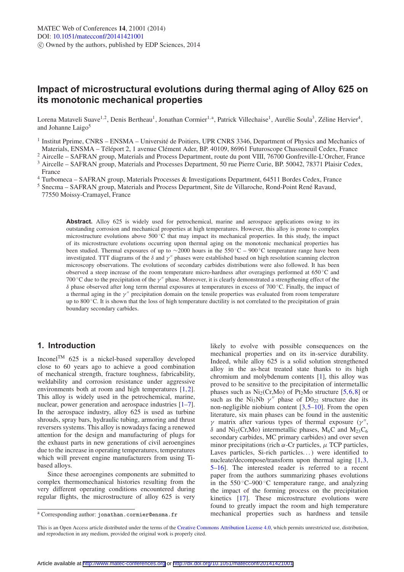# **Impact of microstructural evolutions during thermal aging of Alloy 625 on its monotonic mechanical properties**

Lorena Mataveli Suave<sup>1,2</sup>, Denis Bertheau<sup>1</sup>, Jonathan Cormier<sup>1, a</sup>, Patrick Villechaise<sup>1</sup>, Aurélie Soula<sup>3</sup>, Zéline Hervier<sup>4</sup>, and Johanne Laigo<sup>5</sup>

<sup>1</sup> Institut Pprime, CNRS – ENSMA – Université de Poitiers, UPR CNRS 3346, Department of Physics and Mechanics of Materials, ENSMA – Téléport 2, 1 avenue Clément Ader, BP. 40109, 86961 Futuroscope Chasseneuil Cedex, Franc

<sup>2</sup> Aircelle – SAFRAN group, Materials and Process Department, route du pont VIII, 76700 Gonfreville-L'Orcher, France

- <sup>3</sup> Aircelle SAFRAN group, Materials and Processes Department, 50 rue Pierre Curie, BP. 50042, 78371 Plaisir Cedex, France
- <sup>4</sup> Turbomeca SAFRAN group, Materials Processes & Investigations Department, 64511 Bordes Cedex, France
- <sup>5</sup> Snecma SAFRAN group, Materials and Process Department, Site de Villaroche, Rond-Point René Ravaud, 77550 Moissy-Cramayel, France

**Abstract.** Alloy 625 is widely used for petrochemical, marine and aerospace applications owing to its outstanding corrosion and mechanical properties at high temperatures. However, this alloy is prone to complex microstructure evolutions above 500 ◦C that may impact its mechanical properties. In this study, the impact of its microstructure evolutions occurring upon thermal aging on the monotonic mechanical properties has been studied. Thermal exposures of up to ∼2000 hours in the 550 ◦C – 900 ◦C temperature range have been investigated. TTT diagrams of the  $\delta$  and  $\gamma''$  phases were established based on high resolution scanning electron microscopy observations. The evolutions of secondary carbides distributions were also followed. It has been observed a steep increase of the room temperature micro-hardness after overagings performed at 650 ◦C and 700 °C due to the precipitation of the  $\gamma''$  phase. Moreover, it is clearly demonstrated a strengthening effect of the δ phase observed after long term thermal exposures at temperatures in excess of 700 ◦C. Finally, the impact of a thermal aging in the  $\gamma$ " precipitation domain on the tensile properties was evaluated from room temperature up to 800 ℃. It is shown that the loss of high temperature ductility is not correlated to the precipitation of grain boundary secondary carbides.

# **1. Introduction**

Inconel<sup>TM</sup> 625 is a nickel-based superalloy developed close to 60 years ago to achieve a good combination of mechanical strength, fracture toughness, fabricability, weldability and corrosion resistance under aggressive environments both at room and high temperatures [\[1](#page-5-0),[2\]](#page-5-1). This alloy is widely used in the petrochemical, marine, nuclear, power generation and aerospace industries [\[1](#page-5-0)[–7](#page-5-2)]. In the aerospace industry, alloy 625 is used as turbine shrouds, spray bars, hydraulic tubing, armoring and thrust reversers systems. This alloy is nowadays facing a renewed attention for the design and manufacturing of plugs for the exhaust parts in new generations of civil aeroengines due to the increase in operating temperatures, temperatures which will prevent engine manufacturers from using Tibased alloys.

Since these aeroengines components are submitted to complex thermomechanical histories resulting from the very different operating conditions encountered during regular flights, the microstructure of alloy 625 is very

likely to evolve with possible consequences on the mechanical properties and on its in-service durability. Indeed, while alloy 625 is a solid solution strengthened alloy in the as-heat treated state thanks to its high chromium and molybdenum contents [\[1](#page-5-0)], this alloy was proved to be sensitive to the precipitation of intermetallic phases such as  $Ni<sub>2</sub>(Cr,Mo)$  of Pt<sub>2</sub>Mo structure [\[5](#page-5-3),[6](#page-5-4)[,8](#page-5-5)] or such as the Ni<sub>3</sub>Nb  $\gamma''$  phase of D0<sub>22</sub> structure due its non-negligible niobium content [\[3](#page-5-6),[5](#page-5-3)[–10\]](#page-5-7). From the open literature, six main phases can be found in the austenitic γ matrix after various types of thermal exposure (γ", δ and Ni<sub>2</sub>(Cr,Mo) intermetallic phases, M<sub>6</sub>C and M<sub>23</sub>C<sub>6</sub> secondary carbides, MC primary carbides) and over seven minor precipitations (rich  $\alpha$ -Cr particles,  $\mu$  TCP particles, Laves particles, Si-rich particles...) were identified to nucleate/decompose/transform upon thermal aging [\[1](#page-5-0),[3,](#page-5-6) [5](#page-5-3)[–16\]](#page-5-8). The interested reader is referred to a recent paper from the authors summarizing phases evolutions in the  $550^{\circ}$ C–900 $^{\circ}$ C temperature range, and analyzing the impact of the forming process on the precipitation kinetics [\[17](#page-5-9)]. These microstructure evolutions were found to greatly impact the room and high temperature mechanical properties such as hardness and tensile

<sup>a</sup> Corresponding author: jonathan.cormier@ensma.fr

This is an Open Access article distributed under the terms of the [Creative Commons Attribution License 4.0,](http://creativecommons.org/licenses/by/4.0/) which permits unrestricted use, distribution, and reproduction in any medium, provided the original work is properly cited.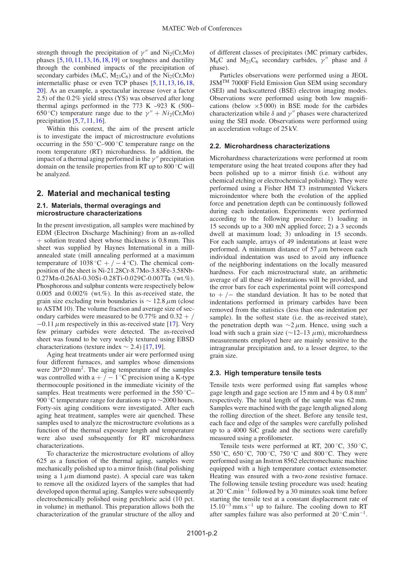strength through the precipitation of  $\gamma''$  and Ni<sub>2</sub>(Cr,Mo) phases  $[5,10,11,13,16,18,19]$  $[5,10,11,13,16,18,19]$  $[5,10,11,13,16,18,19]$  $[5,10,11,13,16,18,19]$  $[5,10,11,13,16,18,19]$  $[5,10,11,13,16,18,19]$  $[5,10,11,13,16,18,19]$  $[5,10,11,13,16,18,19]$  $[5,10,11,13,16,18,19]$  $[5,10,11,13,16,18,19]$  $[5,10,11,13,16,18,19]$  or toughness and ductility through the combined impacts of the precipitation of secondary carbides ( $M_6C$ ,  $M_{23}C_6$ ) and of the Ni<sub>2</sub>(Cr,Mo) intermetallic phase or even TCP phases [\[5](#page-5-3),[11](#page-5-10),[13](#page-5-11)[,16](#page-5-8),[18,](#page-5-12) [20](#page-5-14)]. As an example, a spectacular increase (over a factor 2.5) of the 0.2% yield stress (YS) was observed after long thermal agings performed in the 773 K  $-923$  K  $(500-$ 650 °C) temperature range due to the  $\gamma'' + Ni_2(Cr, Mo)$ precipitation [\[5](#page-5-3),[7,](#page-5-2)[11](#page-5-10),[16\]](#page-5-8).

Within this context, the aim of the present article is to investigate the impact of microstructure evolutions occurring in the 550 ◦C–900 ◦C temperature range on the room temperature (RT) microhardness. In addition, the impact of a thermal aging performed in the  $\gamma''$  precipitation domain on the tensile properties from RT up to 800 ◦C will be analyzed.

### **2. Material and mechanical testing**

#### **2.1. Materials, thermal overagings and microstructure characterizations**

In the present investigation, all samples were machined by EDM (Electron Discharge Machining) from an as-rolled  $+$  solution treated sheet whose thickness is 0.8 mm. This sheet was supplied by Haynes International in a millannealed state (mill annealing performed at a maximum temperature of  $1038\text{°C} + / -4\text{°C}$ . The chemical composition of the sheet is Ni-21.28Cr-8.7Mo-3.83Fe-3.58Nb-0.27Mn-0.26Al-0.30Si-0.28Ti-0.029C-0.007Ta (wt.%). Phosphorous and sulphur contents were respectively below 0.005 and 0.002% (wt.%). In this as-received state, the grain size excluding twin boundaries is  $\sim$  12.8  $\mu$ m (close to ASTM 10). The volume fraction and average size of secondary carbides were measured to be  $0.77\%$  and  $0.32 + /$  $-0.11 \mu$ m respectively in this as-received state [\[17\]](#page-5-9). Very few primary carbides were detected. The as-received sheet was found to be very weekly textured using EBSD characterizations (texture index  $\sim$  2.4) [\[17](#page-5-9),[19\]](#page-5-13).

Aging heat treatments under air were performed using four different furnaces, and samples whose dimensions were 20\*20 mm2. The aging temperature of the samples was controlled with a +  $/ - 1$  °C precision using a K-type thermocouple positioned in the immediate vicinity of the samples. Heat treatments were performed in the 550 °C– 900 °C temperature range for durations up to ∼2000 hours. Forty-six aging conditions were investigated. After each aging heat treatment, samples were air quenched. These samples used to analyze the microstructure evolutions as a function of the thermal exposure length and temperature were also used subsequently for RT microhardness characterizations.

To characterize the microstructure evolutions of alloy 625 as a function of the thermal aging, samples were mechanically polished up to a mirror finish (final polishing using a  $1 \mu$ m diamond paste). A special care was taken to remove all the oxidized layers of the samples that had developed upon thermal aging. Samples were subsequently electrochemically polished using perchloric acid (10 pct. in volume) in methanol. This preparation allows both the characterization of the granular structure of the alloy and of different classes of precipitates (MC primary carbides, M<sub>6</sub>C and M<sub>23</sub>C<sub>6</sub> secondary carbides,  $\gamma''$  phase and  $\delta$ phase).

Particles observations were performed using a JEOL JSMTM 7000F Field Emission Gun SEM using secondary (SEI) and backscattered (BSE) electron imaging modes. Observations were performed using both low magnifications (below  $\times$  5000) in BSE mode for the carbides characterization while  $\delta$  and  $\gamma''$  phases were characterized using the SEI mode. Observations were performed using an acceleration voltage of 25 kV.

### **2.2. Microhardness characterizations**

Microhardness characterizations were performed at room temperature using the heat treated coupons after they had been polished up to a mirror finish (i.e. without any chemical etching or electrochemical polishing). They were performed using a Fisher HM T3 instrumented Vickers microindentor where both the evolution of the applied force and penetration depth can be continuously followed during each indentation. Experiments were performed according to the following procedure: 1) loading in 15 seconds up to a 300 mN applied force; 2) a 3 seconds dwell at maximum load; 3) unloading in 15 seconds. For each sample, arrays of 49 indentations at least were performed. A minimum distance of  $57 \mu m$  between each individual indentation was used to avoid any influence of the neighboring indentations on the locally measured hardness. For each microstructural state, an arithmetic average of all these 49 indentations will be provided, and the error bars for each experimental point will correspond to +  $/$  – the standard deviation. It has to be noted that indentations performed in primary carbides have been removed from the statistics (less than one indentation per sample). In the softest state (i.e. the as-received state), the penetration depth was  $\sim$ 2 µm. Hence, using such a load with such a grain size ( $\sim$ 12–13  $\mu$ m), microhardness measurements employed here are mainly sensitive to the intragranular precipitation and, to a lesser degree, to the grain size.

#### **2.3. High temperature tensile tests**

Tensile tests were performed using flat samples whose gage length and gage section are  $15 \text{ mm}$  and  $4 \text{ by } 0.8 \text{ mm}^2$ respectively. The total length of the sample was 62 mm. Samples were machined with the gage length aligned along the rolling direction of the sheet. Before any tensile test, each face and edge of the samples were carefully polished up to a 4000 SiC grade and the sections were carefully measured using a profilometer.

Tensile tests were performed at RT,  $200\,^{\circ}$ C,  $350\,^{\circ}$ C, 550 °C, 650 °C, 700 °C, 750 °C and 800 °C. They were performed using an Instron 8562 electromechanic machine equipped with a high temperature contact extensometer. Heating was ensured with a two-zone resistive furnace. The following tensile testing procedure was used: heating at 20 ◦C.min−<sup>1</sup> followed by a 30 minutes soak time before starting the tensile test at a constant displacement rate of  $15.10^{-3}$  mm.s<sup>-1</sup> up to failure. The cooling down to RT after samples failure was also performed at 20 ◦C.min−1.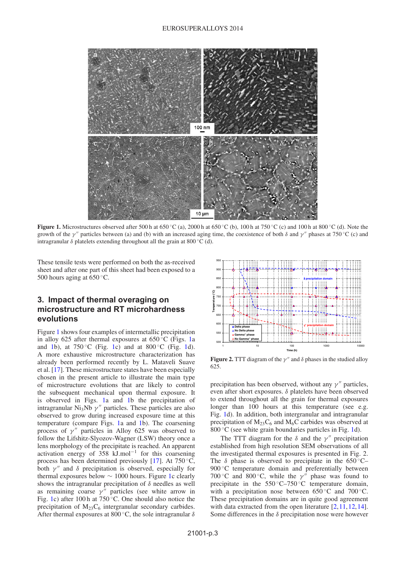

<span id="page-2-0"></span>**Figure 1.** Microstructures observed after 500 h at 650 °C (a), 2000 h at 650 °C (b), 100 h at 750 °C (c) and 100 h at 800 °C (d). Note the growth of the  $\gamma''$  particles between (a) and (b) with an increased aging time, the coexistence of both  $\delta$  and  $\gamma''$  phases at 750 °C (c) and intragranular  $\delta$  platelets extending throughout all the grain at 800 °C (d).

These tensile tests were performed on both the as-received sheet and after one part of this sheet had been exposed to a 500 hours aging at  $650^{\circ}$ C.

# **3. Impact of thermal overaging on microstructure and RT microhardness evolutions**

Figure [1](#page-2-0) shows four examples of intermetallic precipitation in alloy 625 after thermal exposures at  $650^{\circ}$ C (Figs. [1a](#page-2-0)) and [1b](#page-2-0)), at  $750\degree$ C (Fig. [1c](#page-2-0)) and at  $800\degree$ C (Fig. [1d](#page-2-0)). A more exhaustive microstructure characterization has already been performed recently by L. Mataveli Suave et al. [\[17](#page-5-9)]. These microstructure states have been especially chosen in the present article to illustrate the main type of microstructure evolutions that are likely to control the subsequent mechanical upon thermal exposure. It is observed in Figs. [1a](#page-2-0) and [1b](#page-2-0) the precipitation of intragranular Ni<sub>3</sub>Nb  $\gamma''$  particles. These particles are also observed to grow during increased exposure time at this temperature (compare Figs. [1a](#page-2-0) and [1b](#page-2-0)). The coarsening process of  $\gamma''$  particles in Alloy 625 was observed to follow the Lifshitz-Slyozov-Wagner (LSW) theory once a lens morphology of the precipitate is reached. An apparent activation energy of  $358$  kJ.mol<sup>-1</sup> for this coarsening process has been determined previously [\[17\]](#page-5-9). At 750 $°C$ , both  $\gamma''$  and  $\delta$  precipitation is observed, especially for thermal exposures below  $\sim 1000$  hours. Figure [1c](#page-2-0) clearly shows the intragranular precipitation of  $\delta$  needles as well as remaining coarse  $\gamma''$  particles (see white arrow in Fig. [1c](#page-2-0)) after 100 h at  $750^{\circ}$ C. One should also notice the precipitation of  $M_{23}C_6$  intergranular secondary carbides. After thermal exposures at 800 °C, the sole intragranular  $\delta$ 

<span id="page-2-1"></span>

**Figure 2.** TTT diagram of the  $\gamma''$  and  $\delta$  phases in the studied alloy 625.

precipitation has been observed, without any  $\gamma''$  particles, even after short exposures.  $\delta$  platelets have been observed to extend throughout all the grain for thermal exposures longer than  $100$  hours at this temperature (see e.g. Fig. [1d](#page-2-0)). In addition, both intergranular and intragranular precipitation of  $M_{23}C_6$  and  $M_6C$  carbides was observed at 800 $\degree$ C (see white grain boundaries particles in Fig. [1d](#page-2-0)).

The TTT diagram for the  $\delta$  and the  $\gamma''$  precipitation established from high resolution SEM observations of all the investigated thermal exposures is presented in Fig. 2. The  $\delta$  phase is observed to precipitate in the 650 °C– 900 °C temperature domain and preferentially between 700 °C and 800 °C, while the  $\gamma''$  phase was found to precipitate in the  $550^{\circ}$ C–750 °C temperature domain, with a precipitation nose between  $650^{\circ}$ C and  $700^{\circ}$ C. These precipitation domains are in quite good agreement with data extracted from the open literature [\[2](#page-5-1), [11,](#page-5-10) [12](#page-5-15), 14]. Some differences in the  $\delta$  precipitation nose were however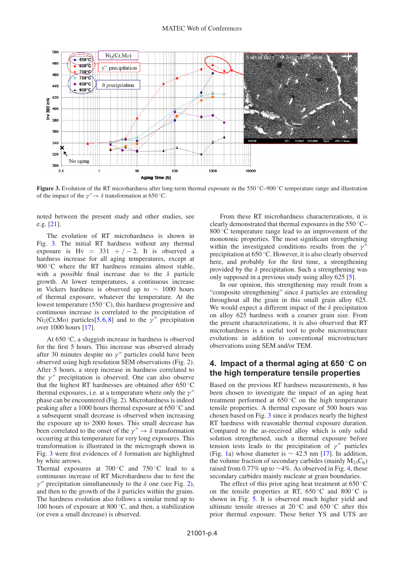

<span id="page-3-0"></span>**Figure 3.** Evolution of the RT microhardness after long-term thermal exposure in the 550 °C−900 °C temperature range and illustration of the impact of the  $\gamma'' \rightarrow \delta$  transformation at 650 °C.

noted between the present study and other studies, see e.g. [\[21](#page-5-17)].

The evolution of RT microhardness is shown in Fig. [3.](#page-3-0) The initial RT hardness without any thermal exposure is Hv =  $331 + / -2$ . It is observed a hardness increase for all aging temperatures, except at 900 $°C$  where the RT hardness remains almost stable, with a possible final increase due to the  $\delta$  particle growth. At lower temperatures, a continuous increase in Vickers hardness is observed up to ∼ 1000 hours of thermal exposure, whatever the temperature. At the lowest temperature (550 ◦C), this hardness progressive and continuous increase is correlated to the precipitation of  $Ni<sub>2</sub>(Cr, Mo)$  particles[\[5](#page-5-3),[6,](#page-5-4)[8](#page-5-5)] and to the  $\gamma''$  precipitation over 1000 hours [\[17](#page-5-9)].

At  $650^{\circ}$ C, a sluggish increase in hardness is observed for the first 5 hours. This increase was observed already after 30 minutes despite no  $\gamma''$  particles could have been observed using high resolution SEM observations (Fig. 2). After 5 hours, a steep increase in hardness correlated to the  $\nu''$  precipitation is observed. One can also observe that the highest RT hardnesses are obtained after 650 ◦C thermal exposures, i.e. at a temperature where only the  $\gamma''$ phase can be encountered (Fig. 2). Microhardness is indeed peaking after a 1000 hours thermal exposure at 650 ◦C and a subsequent small decrease is observed when increasing the exposure up to 2000 hours. This small decrease has been correlated to the onset of the  $\gamma'' \to \delta$  transformation occurring at this temperature for very long exposures. This transformation is illustrated in the micrograph shown in Fig. [3](#page-3-0) were first evidences of  $\delta$  formation are highlighted by white arrows.

Thermal exposures at  $700\degree$ C and  $750\degree$ C lead to a continuous increase of RT Microhardness due to first the  $γ''$  precipitation simultaneously to the δ one (see Fig. [2\)](#page-2-1), and then to the growth of the  $\delta$  particles within the grains. The hardness evolution also follows a similar trend up to 100 hours of exposure at  $800\,^{\circ}\text{C}$ , and then, a stabilization (or even a small decrease) is observed.

From these RT microhardness characterizations, it is clearly demonstrated that thermal exposures in the 550 ◦C– 800 ℃ temperature range lead to an improvement of the monotonic properties. The most significant strengthening within the investigated conditions results from the  $\gamma'$ precipitation at 650 ◦C. However, it is also clearly observed here, and probably for the first time, a strengthening provided by the  $\delta$  precipitation. Such a strengthening was only supposed in a previous study using alloy 625 [\[5\]](#page-5-3).

In our opinion, this strengthening may result from a "composite strengthening" since  $\delta$  particles are extending throughout all the grain in this small grain alloy 625. We would expect a different impact of the  $\delta$  precipitation on alloy 625 hardness with a coarser grain size. From the present characterizations, it is also observed that RT microhardness is a useful tool to probe microstructure evolutions in addition to conventional microstructure observations using SEM and/or TEM.

## **4. Impact of a thermal aging at 650** ◦**C on the high temperature tensile properties**

Based on the previous RT hardness measurements, it has been chosen to investigate the impact of an aging heat treatment performed at 650 ◦C on the high temperature tensile properties. A thermal exposure of 500 hours was chosen based on Fig. [3](#page-3-0) since it produces nearly the highest RT hardness with reasonable thermal exposure duration. Compared to the as-received alloy which is only solid solution strengthened, such a thermal exposure before tension tests leads to the precipitation of  $\gamma''$  particles (Fig. [1a](#page-2-0)) whose diameter is  $\sim$  42.5 nm [\[17](#page-5-9)]. In addition, the volume fraction of secondary carbides (mainly  $M_{23}C_6$ ) raised from 0.77% up to ∼4%. As observed in Fig. [4,](#page-4-0) these secondary carbides mainly nucleate at grain boundaries.

The effect of this prior aging heat treatment at  $650\,^{\circ}\text{C}$ on the tensile properties at RT,  $650\degree\text{C}$  and  $800\degree\text{C}$  is shown in Fig. [5.](#page-4-1) It is observed much higher yield and ultimate tensile stresses at  $20^{\circ}$ C and  $650^{\circ}$ C after this prior thermal exposure. These better YS and UTS are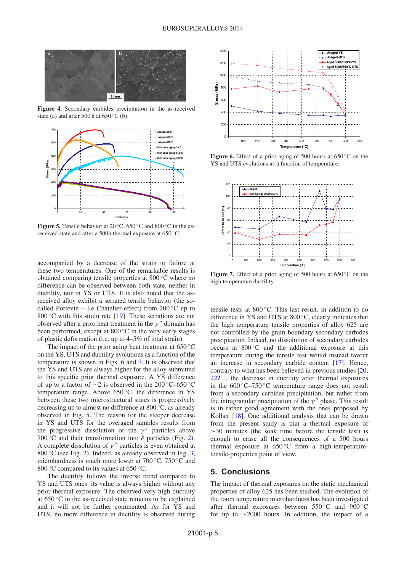<span id="page-4-0"></span>

<span id="page-4-1"></span>**Figure 4.** Secondary carbides precipitation in the as-received state (a) and after 500 h at  $650^{\circ}$ C (b).



**Figure 5.** Tensile behavior at 20 °C, 650 °C and 800 °C in the asreceived state and after a 500h thermal exposure at 650 ◦C.

accompanied by a decrease of the strain to failure at these two temperatures. One of the remarkable results is obtained comparing tensile properties at 800 ◦C where no difference can be observed between both state, neither in ductility, nor in YS or UTS. It is also noted that the asreceived alloy exhibit a serrated tensile behavior (the socalled Portevin – Le Chatelier effect) from  $200\degree$ C up to 800 $\degree$ C with this strain rate [\[19](#page-5-13)]. These serrations are not observed after a prior heat treatment in the  $\gamma''$  domain has been performed, except at  $800\degree\text{C}$  in the very early stages of plastic deformation (i.e. up to 4–5% of total strain).

The impact of the prior aging heat treatment at  $650^{\circ}$ C on the YS, UTS and ductility evolutions as a function of the temperature is shown in Figs. [6](#page-4-2) and [7.](#page-4-3) It is observed that the YS and UTS are always higher for the alloy submitted to this specific prior thermal exposure. A YS difference of up to a factor of ∼2 is observed in the 200 ◦C–650 ◦C temperature range. Above  $650\,^{\circ}\text{C}$ , the difference in YS between these two microstructural states is progressively decreasing up to almost no difference at 800 ◦C, as already observed in Fig. 5. The reason for the steeper decrease in YS and UTS for the overaged samples results from the progressive dissolution of the  $\gamma''$  particles above 700 °C and their transformation into  $\delta$  particles (Fig. [2\)](#page-2-1). A complete dissolution of  $\gamma''$  particles is even obtained at 800 $\degree$ C (see Fig. [2\)](#page-2-1). Indeed, as already observed in Fig. [3,](#page-3-0) microhardness is much more lower at  $700\,^{\circ}$ C,  $750\,^{\circ}$ C and 800 °C compared to its values at  $650$  °C.

The ductility follows the inverse trend compared to YS and UTS ones: its value is always higher without any prior thermal exposure. The observed very high ductility at  $650^{\circ}$ C in the as-received state remains to be explained and it will not be further commented. As for YS and UTS, no more difference in ductility is observed during

<span id="page-4-2"></span>

<span id="page-4-3"></span>**Figure 6.** Effect of a prior aging of 500 hours at 650 °C on the YS and UTS evolutions as a function of temperature.



Figure 7. Effect of a prior aging of 500 hours at 650 °C on the high temperature ductility.

tensile tests at 800 ◦C. This last result, in addition to no difference in YS and UTS at 800 ◦C, clearly indicates that the high temperature tensile properties of alloy 625 are not controlled by the grain boundary secondary carbides precipitation. Indeed, no dissolution of secondary carbides occurs at 800 ◦C and the additional exposure at this temperature during the tensile test would instead favour an increase in secondary carbide content [\[17](#page-5-9)]. Hence, contrary to what has been believed in previous studies [\[20,](#page-5-14) [22](#page-5-18)**?** ], the decrease in ductility after thermal exposures in the  $600\degree$ C–750 $\degree$ C temperature range does not result from a secondary carbides precipitation, but rather from the intragranular precipitation of the  $\gamma''$  phase. This result is in rather good agreement with the ones proposed by Kölher  $[18]$  $[18]$  $[18]$ . One additional analysis that can be drawn from the present study is that a thermal exposure of  $~\sim$ 30 minutes (the soak time before the tensile test) is enough to erase all the consequences of a 500 hours thermal exposure at  $650^{\circ}$ C from a high-temperaturetensile-properties point of view.

### **5. Conclusions**

The impact of thermal exposures on the static mechanical properties of alloy 625 has been studied. The evolution of the room temperature microhardness has been investigated after thermal exposures between  $550 °C$  and  $900 °C$ for up to ∼2000 hours. In addition, the impact of a